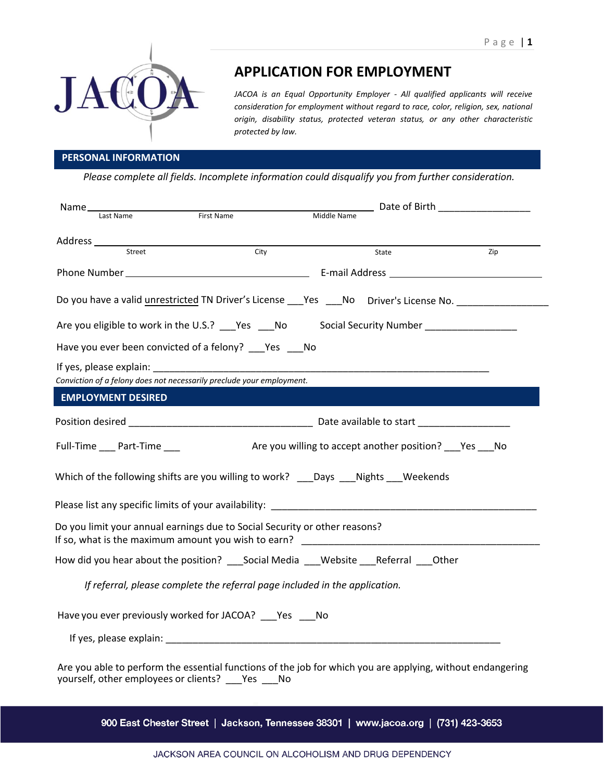

# **APPLICATION FOR EMPLOYMENT**

*JACOA is an Equal Opportunity Employer - All qualified applicants will receive consideration for employment without regard to race, color, religion, sex, national origin, disability status, protected veteran status, or any other characteristic protected by law.* 

## **PERSONAL INFORMATION**

*Please complete all fields. Incomplete information could disqualify you from further consideration.* 

| Name_                                                                                                                                                              |                                                                                        |                                                                       | Date of Birth <b>Exercise 2018</b>                         |     |
|--------------------------------------------------------------------------------------------------------------------------------------------------------------------|----------------------------------------------------------------------------------------|-----------------------------------------------------------------------|------------------------------------------------------------|-----|
|                                                                                                                                                                    | Last Name                                                                              | First Name                                                            | Middle Name                                                |     |
|                                                                                                                                                                    |                                                                                        |                                                                       |                                                            |     |
|                                                                                                                                                                    | Street                                                                                 | $\overline{City}$                                                     | State                                                      | Zip |
|                                                                                                                                                                    |                                                                                        |                                                                       |                                                            |     |
|                                                                                                                                                                    |                                                                                        |                                                                       |                                                            |     |
|                                                                                                                                                                    | Do you have a valid unrestricted TN Driver's License ___Yes ___No Driver's License No. |                                                                       |                                                            |     |
| Are you eligible to work in the U.S.? ____Yes ____No Social Security Number _______________________                                                                |                                                                                        |                                                                       |                                                            |     |
|                                                                                                                                                                    |                                                                                        | Have you ever been convicted of a felony? Pes No                      |                                                            |     |
|                                                                                                                                                                    |                                                                                        |                                                                       |                                                            |     |
|                                                                                                                                                                    |                                                                                        | Conviction of a felony does not necessarily preclude your employment. |                                                            |     |
|                                                                                                                                                                    | <b>EMPLOYMENT DESIRED</b>                                                              |                                                                       |                                                            |     |
|                                                                                                                                                                    |                                                                                        |                                                                       |                                                            |     |
|                                                                                                                                                                    | Full-Time Part-Time                                                                    |                                                                       | Are you willing to accept another position? ___ Yes ___ No |     |
| Which of the following shifts are you willing to work? ____ Days ____ Nights ____ Weekends                                                                         |                                                                                        |                                                                       |                                                            |     |
| Please list any specific limits of your availability: ___________________________                                                                                  |                                                                                        |                                                                       |                                                            |     |
| Do you limit your annual earnings due to Social Security or other reasons?                                                                                         |                                                                                        |                                                                       |                                                            |     |
| How did you hear about the position? Social Media Website Referral Other                                                                                           |                                                                                        |                                                                       |                                                            |     |
| If referral, please complete the referral page included in the application.                                                                                        |                                                                                        |                                                                       |                                                            |     |
| Have you ever previously worked for JACOA? ____ Yes _____ No                                                                                                       |                                                                                        |                                                                       |                                                            |     |
|                                                                                                                                                                    |                                                                                        |                                                                       |                                                            |     |
| Are you able to perform the essential functions of the job for which you are applying, without endangering<br>yourself, other employees or clients? ___ Yes ___ No |                                                                                        |                                                                       |                                                            |     |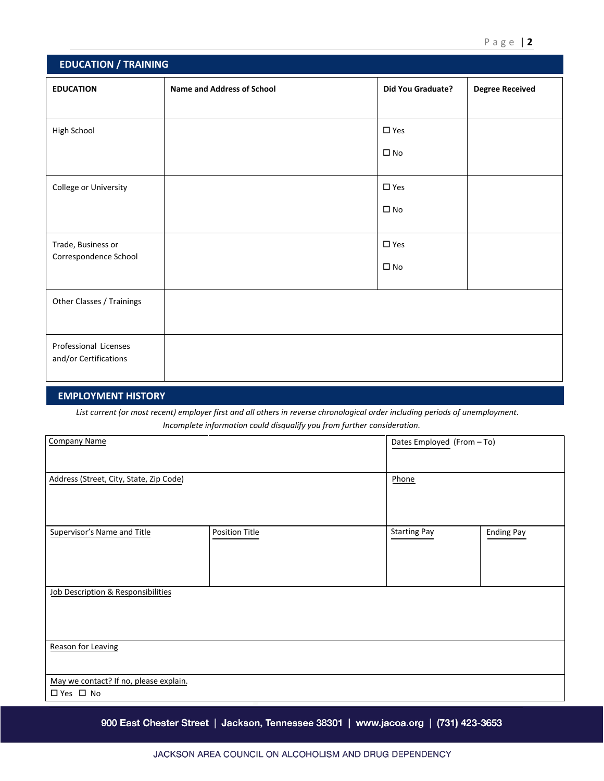| <b>EDUCATION / TRAINING</b>                    |                                   |                          |                        |
|------------------------------------------------|-----------------------------------|--------------------------|------------------------|
| <b>EDUCATION</b>                               | <b>Name and Address of School</b> | <b>Did You Graduate?</b> | <b>Degree Received</b> |
|                                                |                                   |                          |                        |
| High School                                    |                                   | $\square$ Yes            |                        |
|                                                |                                   | $\square$ No             |                        |
| College or University                          |                                   | $\square$ Yes            |                        |
|                                                |                                   | $\square$ No             |                        |
| Trade, Business or                             |                                   | $\square$ Yes            |                        |
| Correspondence School                          |                                   | $\square$ No             |                        |
| Other Classes / Trainings                      |                                   |                          |                        |
| Professional Licenses<br>and/or Certifications |                                   |                          |                        |

#### **EMPLOYMENT HISTORY**

*List current (or most recent) employer first and all others in reverse chronological order including periods of unemployment. Incomplete information could disqualify you from further consideration.* 

| <b>Company Name</b>                                  |                | Dates Employed (From - To) |                   |
|------------------------------------------------------|----------------|----------------------------|-------------------|
| Address (Street, City, State, Zip Code)              |                | Phone                      |                   |
| <b>Supervisor's Name and Title</b>                   | Position Title | <b>Starting Pay</b>        | <b>Ending Pay</b> |
| Job Description & Responsibilities                   |                |                            |                   |
| <b>Reason for Leaving</b>                            |                |                            |                   |
| May we contact? If no, please explain.<br>□ Yes □ No |                |                            |                   |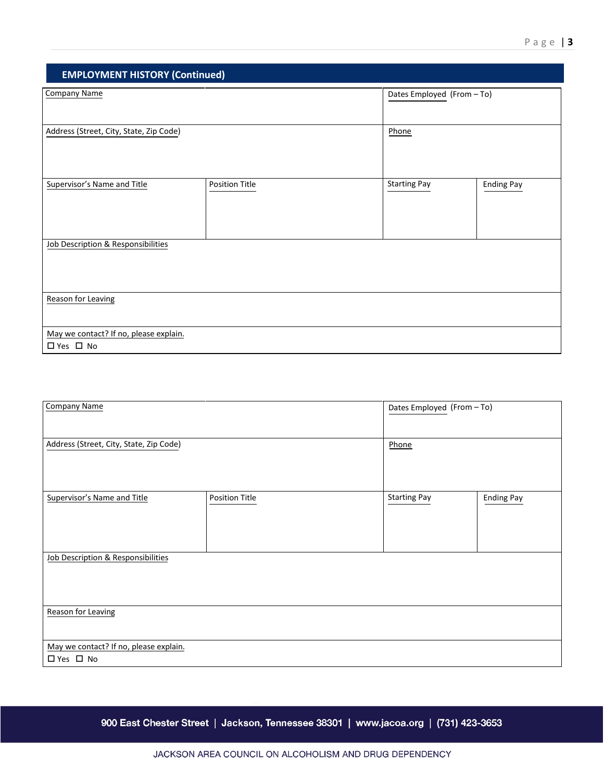| <b>EMPLOYMENT HISTORY (Continued)</b>   |                |                            |                   |
|-----------------------------------------|----------------|----------------------------|-------------------|
| <b>Company Name</b>                     |                | Dates Employed (From - To) |                   |
|                                         |                |                            |                   |
| Address (Street, City, State, Zip Code) |                | Phone                      |                   |
|                                         |                |                            |                   |
|                                         |                |                            |                   |
| Supervisor's Name and Title             | Position Title | <b>Starting Pay</b>        | <b>Ending Pay</b> |
|                                         |                |                            |                   |
|                                         |                |                            |                   |
| Job Description & Responsibilities      |                |                            |                   |
|                                         |                |                            |                   |
|                                         |                |                            |                   |
| <b>Reason for Leaving</b>               |                |                            |                   |
|                                         |                |                            |                   |
| May we contact? If no, please explain.  |                |                            |                   |
| □ Yes □ No                              |                |                            |                   |

| <b>Company Name</b>                                  |                | Dates Employed (From - To) |                   |
|------------------------------------------------------|----------------|----------------------------|-------------------|
| Address (Street, City, State, Zip Code)              |                | Phone                      |                   |
|                                                      |                |                            |                   |
| Supervisor's Name and Title                          | Position Title | <b>Starting Pay</b>        | <b>Ending Pay</b> |
|                                                      |                |                            |                   |
| Job Description & Responsibilities                   |                |                            |                   |
|                                                      |                |                            |                   |
| <b>Reason for Leaving</b>                            |                |                            |                   |
| May we contact? If no, please explain.<br>□ Yes □ No |                |                            |                   |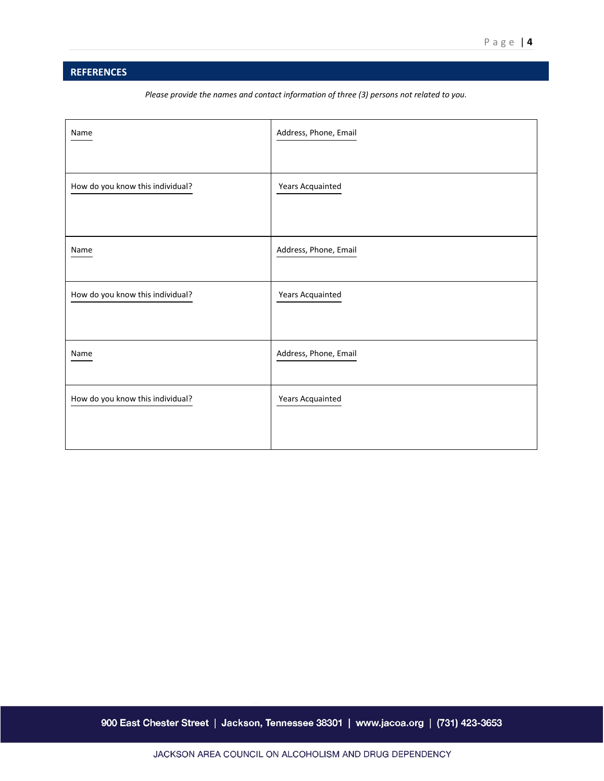## **REFERENCES**

*Please provide the names and contact information of three (3) persons not related to you.* 

| Name                             | Address, Phone, Email |
|----------------------------------|-----------------------|
| How do you know this individual? | Years Acquainted      |
| Name                             | Address, Phone, Email |
| How do you know this individual? | Years Acquainted      |
| Name                             | Address, Phone, Email |
| How do you know this individual? | Years Acquainted      |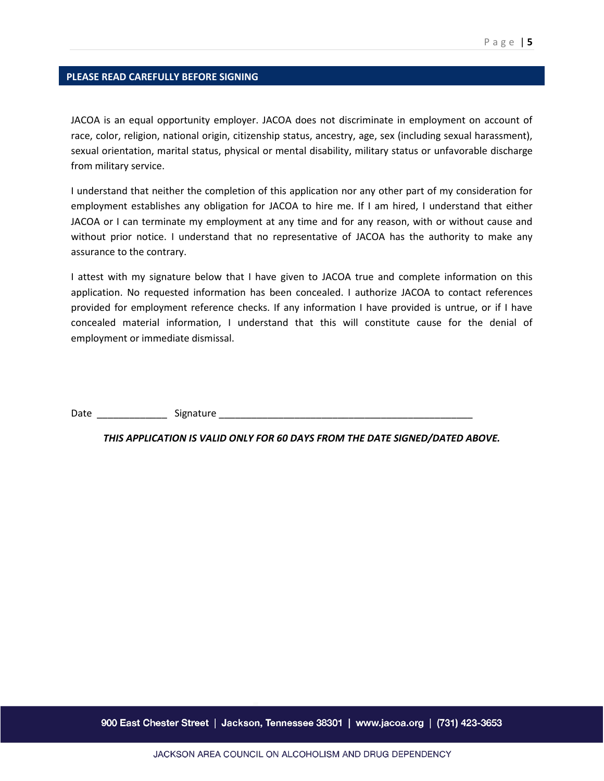#### **PLEASE READ CAREFULLY BEFORE SIGNING**

JACOA is an equal opportunity employer. JACOA does not discriminate in employment on account of race, color, religion, national origin, citizenship status, ancestry, age, sex (including sexual harassment), sexual orientation, marital status, physical or mental disability, military status or unfavorable discharge from military service.

I understand that neither the completion of this application nor any other part of my consideration for employment establishes any obligation for JACOA to hire me. If I am hired, I understand that either JACOA or I can terminate my employment at any time and for any reason, with or without cause and without prior notice. I understand that no representative of JACOA has the authority to make any assurance to the contrary.

I attest with my signature below that I have given to JACOA true and complete information on this application. No requested information has been concealed. I authorize JACOA to contact references provided for employment reference checks. If any information I have provided is untrue, or if I have concealed material information, I understand that this will constitute cause for the denial of employment or immediate dismissal.

Date **Example 2** Signature **Signature**  $\sim$ 

*THIS APPLICATION IS VALID ONLY FOR 60 DAYS FROM THE DATE SIGNED/DATED ABOVE.*